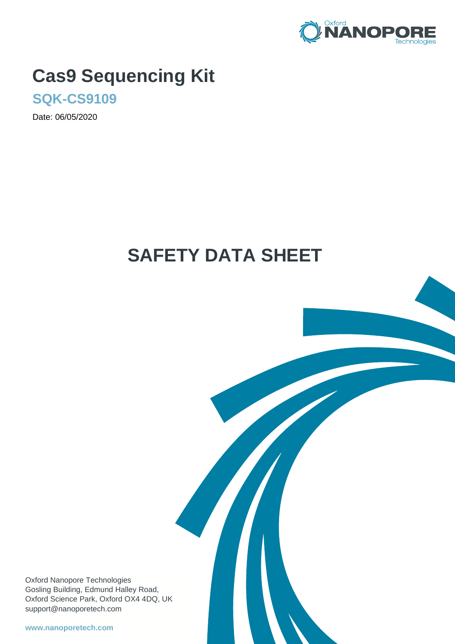

# **Cas9 Sequencing Kit**

**SQK-CS9109**

Date: 06/05/2020

# **SAFETY DATA SHEET**

Oxford Nanopore Technologies Gosling Building, Edmund Halley Road, Oxford Science Park, Oxford OX4 4DQ, UK support@nanoporetech.com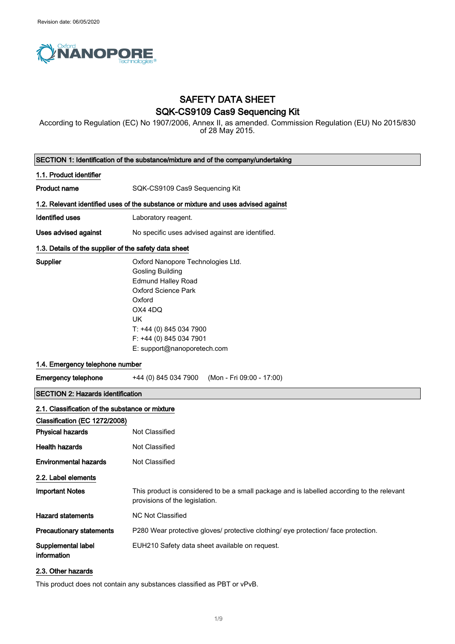

# SAFETY DATA SHEET SQK-CS9109 Cas9 Sequencing Kit

According to Regulation (EC) No 1907/2006, Annex II, as amended. Commission Regulation (EU) No 2015/830 of 28 May 2015.

|                                                       | SECTION 1: Identification of the substance/mixture and of the company/undertaking                                                                                                                                                              |
|-------------------------------------------------------|------------------------------------------------------------------------------------------------------------------------------------------------------------------------------------------------------------------------------------------------|
| 1.1. Product identifier                               |                                                                                                                                                                                                                                                |
| <b>Product name</b>                                   | SQK-CS9109 Cas9 Sequencing Kit                                                                                                                                                                                                                 |
|                                                       | 1.2. Relevant identified uses of the substance or mixture and uses advised against                                                                                                                                                             |
| <b>Identified uses</b>                                | Laboratory reagent.                                                                                                                                                                                                                            |
| Uses advised against                                  | No specific uses advised against are identified.                                                                                                                                                                                               |
| 1.3. Details of the supplier of the safety data sheet |                                                                                                                                                                                                                                                |
| Supplier                                              | Oxford Nanopore Technologies Ltd.<br><b>Gosling Building</b><br><b>Edmund Halley Road</b><br><b>Oxford Science Park</b><br>Oxford<br>OX4 4DQ<br><b>UK</b><br>T: +44 (0) 845 034 7900<br>F: +44 (0) 845 034 7901<br>E: support@nanoporetech.com |
| 1.4. Emergency telephone number                       |                                                                                                                                                                                                                                                |
| <b>Emergency telephone</b>                            | +44 (0) 845 034 7900<br>(Mon - Fri 09:00 - 17:00)                                                                                                                                                                                              |
| <b>SECTION 2: Hazards identification</b>              |                                                                                                                                                                                                                                                |
| 2.1. Classification of the substance or mixture       |                                                                                                                                                                                                                                                |
| Classification (EC 1272/2008)                         |                                                                                                                                                                                                                                                |
| <b>Physical hazards</b>                               | Not Classified                                                                                                                                                                                                                                 |
| <b>Health hazards</b>                                 | Not Classified                                                                                                                                                                                                                                 |
| <b>Environmental hazards</b>                          | Not Classified                                                                                                                                                                                                                                 |
| 2.2. Label elements                                   |                                                                                                                                                                                                                                                |
| <b>Important Notes</b>                                | This product is considered to be a small package and is labelled according to the relevant<br>provisions of the legislation.                                                                                                                   |
| <b>Hazard statements</b>                              | NC Not Classified                                                                                                                                                                                                                              |
| <b>Precautionary statements</b>                       | P280 Wear protective gloves/ protective clothing/ eye protection/ face protection.                                                                                                                                                             |
| Supplemental label<br>information                     | EUH210 Safety data sheet available on request.                                                                                                                                                                                                 |
| 2.3. Other hazards                                    |                                                                                                                                                                                                                                                |

This product does not contain any substances classified as PBT or vPvB.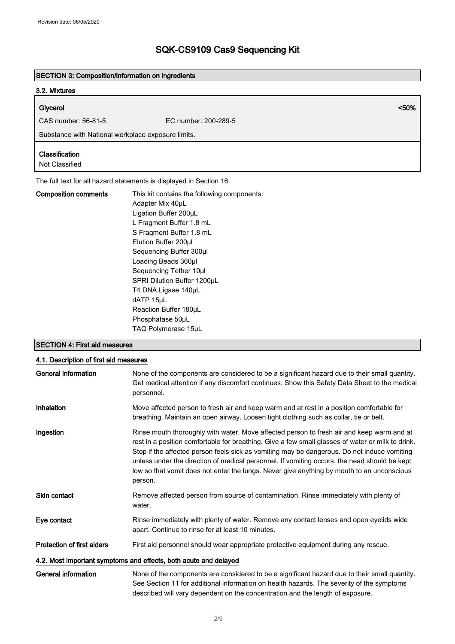#### SECTION 3: Composition/information on ingredients

### 3.2. Mixtures

# Glycerol <50%

CAS number: 56-81-5 EC number: 200-289-5

SECTION 4: First aid measures

Substance with National workplace exposure limits.

### Classification

Not Classified

The full text for all hazard statements is displayed in Section 16.

| <b>Composition comments</b> | This kit contains the following components:<br>Adapter Mix 40uL<br>Ligation Buffer 200µL<br>L Fragment Buffer 1.8 mL<br>S Fragment Buffer 1.8 mL<br>Elution Buffer 200ul<br>Sequencing Buffer 300µl<br>Loading Beads 360µl<br>Sequencing Tether 10µl<br>SPRI Dilution Buffer 1200uL<br>T4 DNA Ligase 140µL<br>dATP 15µL<br>Reaction Buffer 180uL<br>Phosphatase 50uL |
|-----------------------------|----------------------------------------------------------------------------------------------------------------------------------------------------------------------------------------------------------------------------------------------------------------------------------------------------------------------------------------------------------------------|
|                             | TAQ Polymerase 15µL                                                                                                                                                                                                                                                                                                                                                  |

# 4.1. Description of first aid measures General information **None of the components are considered to be a significant hazard due to their small quantity.** Get medical attention if any discomfort continues. Show this Safety Data Sheet to the medical personnel. Inhalation **Move affected person to fresh air and keep warm and at rest in a position comfortable for** breathing. Maintain an open airway. Loosen tight clothing such as collar, tie or belt. Ingestion **Rinse mouth thoroughly with water.** Move affected person to fresh air and keep warm and at rest in a position comfortable for breathing. Give a few small glasses of water or milk to drink. Stop if the affected person feels sick as vomiting may be dangerous. Do not induce vomiting unless under the direction of medical personnel. If vomiting occurs, the head should be kept low so that vomit does not enter the lungs. Never give anything by mouth to an unconscious person. Skin contact **Remove affected person from source of contamination**. Rinse immediately with plenty of water. Eye contact Rinse immediately with plenty of water. Remove any contact lenses and open eyelids wide apart. Continue to rinse for at least 10 minutes. Protection of first aiders First aid personnel should wear appropriate protective equipment during any rescue. 4.2. Most important symptoms and effects, both acute and delayed General information None of the components are considered to be a significant hazard due to their small quantity. See Section 11 for additional information on health hazards. The severity of the symptoms described will vary dependent on the concentration and the length of exposure.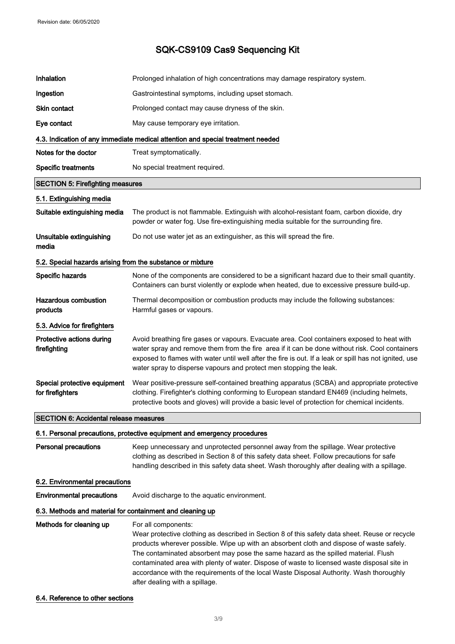| Inhalation                                                 | Prolonged inhalation of high concentrations may damage respiratory system.                                                                                                                                                                                                                                                                                                                                                                                                                                                          |
|------------------------------------------------------------|-------------------------------------------------------------------------------------------------------------------------------------------------------------------------------------------------------------------------------------------------------------------------------------------------------------------------------------------------------------------------------------------------------------------------------------------------------------------------------------------------------------------------------------|
| Ingestion                                                  | Gastrointestinal symptoms, including upset stomach.                                                                                                                                                                                                                                                                                                                                                                                                                                                                                 |
| <b>Skin contact</b>                                        | Prolonged contact may cause dryness of the skin.                                                                                                                                                                                                                                                                                                                                                                                                                                                                                    |
| Eye contact                                                | May cause temporary eye irritation.                                                                                                                                                                                                                                                                                                                                                                                                                                                                                                 |
|                                                            | 4.3. Indication of any immediate medical attention and special treatment needed                                                                                                                                                                                                                                                                                                                                                                                                                                                     |
| Notes for the doctor                                       | Treat symptomatically.                                                                                                                                                                                                                                                                                                                                                                                                                                                                                                              |
| <b>Specific treatments</b>                                 | No special treatment required.                                                                                                                                                                                                                                                                                                                                                                                                                                                                                                      |
| <b>SECTION 5: Firefighting measures</b>                    |                                                                                                                                                                                                                                                                                                                                                                                                                                                                                                                                     |
| 5.1. Extinguishing media                                   |                                                                                                                                                                                                                                                                                                                                                                                                                                                                                                                                     |
| Suitable extinguishing media                               | The product is not flammable. Extinguish with alcohol-resistant foam, carbon dioxide, dry<br>powder or water fog. Use fire-extinguishing media suitable for the surrounding fire.                                                                                                                                                                                                                                                                                                                                                   |
| Unsuitable extinguishing<br>media                          | Do not use water jet as an extinguisher, as this will spread the fire.                                                                                                                                                                                                                                                                                                                                                                                                                                                              |
| 5.2. Special hazards arising from the substance or mixture |                                                                                                                                                                                                                                                                                                                                                                                                                                                                                                                                     |
| Specific hazards                                           | None of the components are considered to be a significant hazard due to their small quantity.<br>Containers can burst violently or explode when heated, due to excessive pressure build-up.                                                                                                                                                                                                                                                                                                                                         |
| <b>Hazardous combustion</b><br>products                    | Thermal decomposition or combustion products may include the following substances:<br>Harmful gases or vapours.                                                                                                                                                                                                                                                                                                                                                                                                                     |
| 5.3. Advice for firefighters                               |                                                                                                                                                                                                                                                                                                                                                                                                                                                                                                                                     |
| Protective actions during<br>firefighting                  | Avoid breathing fire gases or vapours. Evacuate area. Cool containers exposed to heat with<br>water spray and remove them from the fire area if it can be done without risk. Cool containers<br>exposed to flames with water until well after the fire is out. If a leak or spill has not ignited, use<br>water spray to disperse vapours and protect men stopping the leak.                                                                                                                                                        |
| Special protective equipment<br>for firefighters           | Wear positive-pressure self-contained breathing apparatus (SCBA) and appropriate protective<br>clothing. Firefighter's clothing conforming to European standard EN469 (including helmets,<br>protective boots and gloves) will provide a basic level of protection for chemical incidents.                                                                                                                                                                                                                                          |
| <b>SECTION 6: Accidental release measures</b>              |                                                                                                                                                                                                                                                                                                                                                                                                                                                                                                                                     |
|                                                            | 6.1. Personal precautions, protective equipment and emergency procedures                                                                                                                                                                                                                                                                                                                                                                                                                                                            |
| <b>Personal precautions</b>                                | Keep unnecessary and unprotected personnel away from the spillage. Wear protective<br>clothing as described in Section 8 of this safety data sheet. Follow precautions for safe<br>handling described in this safety data sheet. Wash thoroughly after dealing with a spillage.                                                                                                                                                                                                                                                     |
| 6.2. Environmental precautions                             |                                                                                                                                                                                                                                                                                                                                                                                                                                                                                                                                     |
| <b>Environmental precautions</b>                           | Avoid discharge to the aquatic environment.                                                                                                                                                                                                                                                                                                                                                                                                                                                                                         |
| 6.3. Methods and material for containment and cleaning up  |                                                                                                                                                                                                                                                                                                                                                                                                                                                                                                                                     |
| Methods for cleaning up                                    | For all components:<br>Wear protective clothing as described in Section 8 of this safety data sheet. Reuse or recycle<br>products wherever possible. Wipe up with an absorbent cloth and dispose of waste safely.<br>The contaminated absorbent may pose the same hazard as the spilled material. Flush<br>contaminated area with plenty of water. Dispose of waste to licensed waste disposal site in<br>accordance with the requirements of the local Waste Disposal Authority. Wash thoroughly<br>after dealing with a spillage. |

### 6.4. Reference to other sections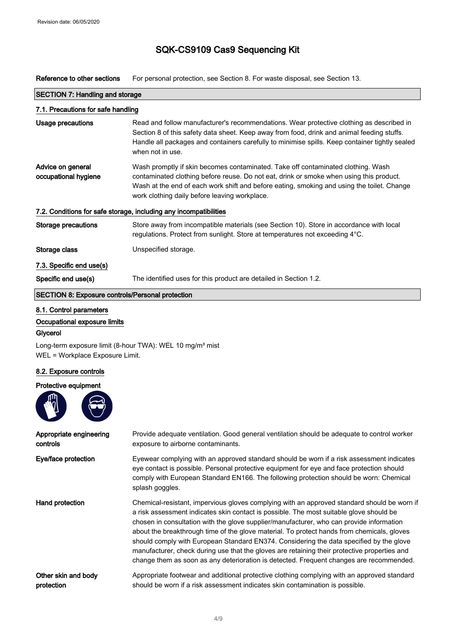Reference to other sections For personal protection, see Section 8. For waste disposal, see Section 13.

| <b>SECTION 7: Handling and storage</b>                  |                                                                                                                                                                                                                                                                                                                            |  |
|---------------------------------------------------------|----------------------------------------------------------------------------------------------------------------------------------------------------------------------------------------------------------------------------------------------------------------------------------------------------------------------------|--|
| 7.1. Precautions for safe handling                      |                                                                                                                                                                                                                                                                                                                            |  |
| <b>Usage precautions</b>                                | Read and follow manufacturer's recommendations. Wear protective clothing as described in<br>Section 8 of this safety data sheet. Keep away from food, drink and animal feeding stuffs.<br>Handle all packages and containers carefully to minimise spills. Keep container tightly sealed<br>when not in use.               |  |
| Advice on general<br>occupational hygiene               | Wash promptly if skin becomes contaminated. Take off contaminated clothing. Wash<br>contaminated clothing before reuse. Do not eat, drink or smoke when using this product.<br>Wash at the end of each work shift and before eating, smoking and using the toilet. Change<br>work clothing daily before leaving workplace. |  |
|                                                         | 7.2. Conditions for safe storage, including any incompatibilities                                                                                                                                                                                                                                                          |  |
| Storage precautions                                     | Store away from incompatible materials (see Section 10). Store in accordance with local<br>regulations. Protect from sunlight. Store at temperatures not exceeding 4°C.                                                                                                                                                    |  |
| Storage class                                           | Unspecified storage.                                                                                                                                                                                                                                                                                                       |  |
| 7.3. Specific end use(s)                                |                                                                                                                                                                                                                                                                                                                            |  |
| Specific end use(s)                                     | The identified uses for this product are detailed in Section 1.2.                                                                                                                                                                                                                                                          |  |
| <b>SECTION 8: Exposure controls/Personal protection</b> |                                                                                                                                                                                                                                                                                                                            |  |

٦

### 8.1. Control parameters

Occupational exposure limits

### Glycerol

Long-term exposure limit (8-hour TWA): WEL 10 mg/m<sup>3</sup> mist WEL = Workplace Exposure Limit.

### 8.2. Exposure controls

### Protective equipment



| Appropriate engineering | Provide adequate ventilation. Good general ventilation should be adequate to control worker                                                                                                                                                                                                                                                                                                                                                                                                                                                                                                                                                                            |
|-------------------------|------------------------------------------------------------------------------------------------------------------------------------------------------------------------------------------------------------------------------------------------------------------------------------------------------------------------------------------------------------------------------------------------------------------------------------------------------------------------------------------------------------------------------------------------------------------------------------------------------------------------------------------------------------------------|
| controls                | exposure to airborne contaminants.                                                                                                                                                                                                                                                                                                                                                                                                                                                                                                                                                                                                                                     |
| Eye/face protection     | Eyewear complying with an approved standard should be worn if a risk assessment indicates<br>eye contact is possible. Personal protective equipment for eye and face protection should<br>comply with European Standard EN166. The following protection should be worn: Chemical<br>splash goggles.                                                                                                                                                                                                                                                                                                                                                                    |
| Hand protection         | Chemical-resistant, impervious gloves complying with an approved standard should be worn if<br>a risk assessment indicates skin contact is possible. The most suitable glove should be<br>chosen in consultation with the glove supplier/manufacturer, who can provide information<br>about the breakthrough time of the glove material. To protect hands from chemicals, gloves<br>should comply with European Standard EN374. Considering the data specified by the glove<br>manufacturer, check during use that the gloves are retaining their protective properties and<br>change them as soon as any deterioration is detected. Frequent changes are recommended. |
| Other skin and body     | Appropriate footwear and additional protective clothing complying with an approved standard                                                                                                                                                                                                                                                                                                                                                                                                                                                                                                                                                                            |
| protection              | should be worn if a risk assessment indicates skin contamination is possible.                                                                                                                                                                                                                                                                                                                                                                                                                                                                                                                                                                                          |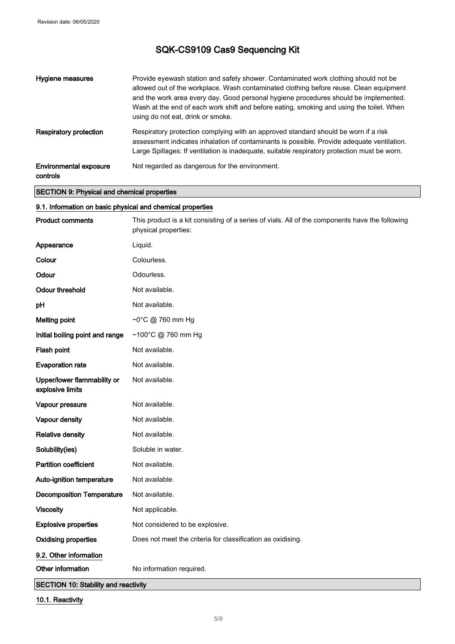| Hygiene measures                                   | Provide eyewash station and safety shower. Contaminated work clothing should not be<br>allowed out of the workplace. Wash contaminated clothing before reuse. Clean equipment<br>and the work area every day. Good personal hygiene procedures should be implemented.<br>Wash at the end of each work shift and before eating, smoking and using the toilet. When<br>using do not eat, drink or smoke. |
|----------------------------------------------------|--------------------------------------------------------------------------------------------------------------------------------------------------------------------------------------------------------------------------------------------------------------------------------------------------------------------------------------------------------------------------------------------------------|
| <b>Respiratory protection</b>                      | Respiratory protection complying with an approved standard should be worn if a risk<br>assessment indicates inhalation of contaminants is possible. Provide adequate ventilation.<br>Large Spillages: If ventilation is inadequate, suitable respiratory protection must be worn.                                                                                                                      |
| <b>Environmental exposure</b><br>controls          | Not regarded as dangerous for the environment.                                                                                                                                                                                                                                                                                                                                                         |
| <b>SECTION 9: Physical and chemical properties</b> |                                                                                                                                                                                                                                                                                                                                                                                                        |

٦

## 9.1. Information on basic physical and chemical properties

| <b>Product comments</b>                         | This product is a kit consisting of a series of vials. All of the components have the following<br>physical properties: |
|-------------------------------------------------|-------------------------------------------------------------------------------------------------------------------------|
| Appearance                                      | Liquid.                                                                                                                 |
| Colour                                          | Colourless.                                                                                                             |
| Odour                                           | Odourless.                                                                                                              |
| <b>Odour threshold</b>                          | Not available.                                                                                                          |
| pH                                              | Not available.                                                                                                          |
| <b>Melting point</b>                            | ~0°C @ 760 mm Hg                                                                                                        |
| Initial boiling point and range                 | ~100°C @ 760 mm Hg                                                                                                      |
| Flash point                                     | Not available.                                                                                                          |
| <b>Evaporation rate</b>                         | Not available.                                                                                                          |
| Upper/lower flammability or<br>explosive limits | Not available.                                                                                                          |
| Vapour pressure                                 | Not available.                                                                                                          |
| Vapour density                                  | Not available.                                                                                                          |
| <b>Relative density</b>                         | Not available.                                                                                                          |
| Solubility(ies)                                 | Soluble in water.                                                                                                       |
| <b>Partition coefficient</b>                    | Not available.                                                                                                          |
| Auto-ignition temperature                       | Not available.                                                                                                          |
| <b>Decomposition Temperature</b>                | Not available.                                                                                                          |
| <b>Viscosity</b>                                | Not applicable.                                                                                                         |
| <b>Explosive properties</b>                     | Not considered to be explosive.                                                                                         |
| <b>Oxidising properties</b>                     | Does not meet the criteria for classification as oxidising.                                                             |
| 9.2. Other information                          |                                                                                                                         |
| Other information                               | No information required.                                                                                                |
| <b>OFOTION 40-04-518</b>                        |                                                                                                                         |

SECTION 10: Stability and reactivity

10.1. Reactivity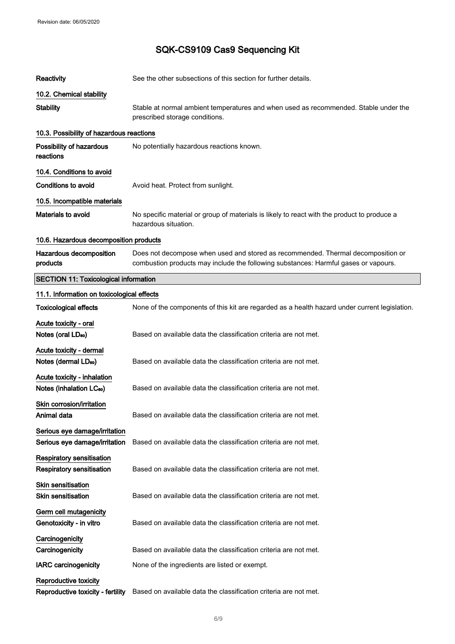| <b>Reactivity</b>                                 | See the other subsections of this section for further details.                                                                                                          |
|---------------------------------------------------|-------------------------------------------------------------------------------------------------------------------------------------------------------------------------|
| 10.2. Chemical stability                          |                                                                                                                                                                         |
| <b>Stability</b>                                  | Stable at normal ambient temperatures and when used as recommended. Stable under the<br>prescribed storage conditions.                                                  |
| 10.3. Possibility of hazardous reactions          |                                                                                                                                                                         |
| Possibility of hazardous<br>reactions             | No potentially hazardous reactions known.                                                                                                                               |
| 10.4. Conditions to avoid                         |                                                                                                                                                                         |
| <b>Conditions to avoid</b>                        | Avoid heat. Protect from sunlight.                                                                                                                                      |
| 10.5. Incompatible materials                      |                                                                                                                                                                         |
| <b>Materials to avoid</b>                         | No specific material or group of materials is likely to react with the product to produce a<br>hazardous situation.                                                     |
| 10.6. Hazardous decomposition products            |                                                                                                                                                                         |
| Hazardous decomposition<br>products               | Does not decompose when used and stored as recommended. Thermal decomposition or<br>combustion products may include the following substances: Harmful gases or vapours. |
| <b>SECTION 11: Toxicological information</b>      |                                                                                                                                                                         |
| 11.1. Information on toxicological effects        |                                                                                                                                                                         |
| <b>Toxicological effects</b>                      | None of the components of this kit are regarded as a health hazard under current legislation.                                                                           |
| Acute toxicity - oral                             |                                                                                                                                                                         |
| Notes (oral LD <sub>50</sub> )                    | Based on available data the classification criteria are not met.                                                                                                        |
| Acute toxicity - dermal                           |                                                                                                                                                                         |
| Notes (dermal LD <sub>50</sub> )                  | Based on available data the classification criteria are not met.                                                                                                        |
| Acute toxicity - inhalation                       |                                                                                                                                                                         |
| Notes (inhalation LC <sub>50</sub> )              | Based on available data the classification criteria are not met.                                                                                                        |
| Skin corrosion/irritation                         |                                                                                                                                                                         |
| Animal data                                       | Based on available data the classification criteria are not met.                                                                                                        |
| Serious eye damage/irritation                     |                                                                                                                                                                         |
| Serious eye damage/irritation                     | Based on available data the classification criteria are not met.                                                                                                        |
| <b>Respiratory sensitisation</b>                  |                                                                                                                                                                         |
| <b>Respiratory sensitisation</b>                  | Based on available data the classification criteria are not met.                                                                                                        |
| <b>Skin sensitisation</b>                         |                                                                                                                                                                         |
| <b>Skin sensitisation</b>                         | Based on available data the classification criteria are not met.                                                                                                        |
| Germ cell mutagenicity<br>Genotoxicity - in vitro | Based on available data the classification criteria are not met.                                                                                                        |
| Carcinogenicity                                   |                                                                                                                                                                         |
| Carcinogenicity                                   | Based on available data the classification criteria are not met.                                                                                                        |
| <b>IARC</b> carcinogenicity                       | None of the ingredients are listed or exempt.                                                                                                                           |
| Reproductive toxicity                             |                                                                                                                                                                         |
| Reproductive toxicity - fertility                 | Based on available data the classification criteria are not met.                                                                                                        |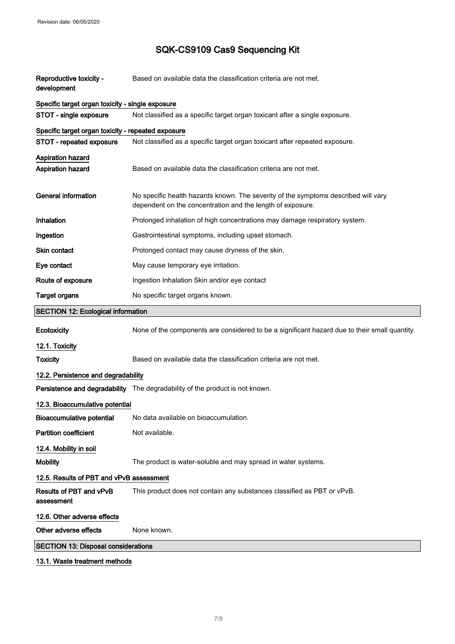| Reproductive toxicity -<br>development             | Based on available data the classification criteria are not met.                                                                                 |
|----------------------------------------------------|--------------------------------------------------------------------------------------------------------------------------------------------------|
| Specific target organ toxicity - single exposure   |                                                                                                                                                  |
| STOT - single exposure                             | Not classified as a specific target organ toxicant after a single exposure.                                                                      |
| Specific target organ toxicity - repeated exposure |                                                                                                                                                  |
| STOT - repeated exposure                           | Not classified as a specific target organ toxicant after repeated exposure.                                                                      |
| Aspiration hazard                                  |                                                                                                                                                  |
| <b>Aspiration hazard</b>                           | Based on available data the classification criteria are not met.                                                                                 |
| <b>General information</b>                         | No specific health hazards known. The severity of the symptoms described will vary<br>dependent on the concentration and the length of exposure. |
| Inhalation                                         | Prolonged inhalation of high concentrations may damage respiratory system.                                                                       |
| Ingestion                                          | Gastrointestinal symptoms, including upset stomach.                                                                                              |
| Skin contact                                       | Prolonged contact may cause dryness of the skin.                                                                                                 |
| Eye contact                                        | May cause temporary eye irritation.                                                                                                              |
| Route of exposure                                  | Ingestion Inhalation Skin and/or eye contact                                                                                                     |
| <b>Target organs</b>                               | No specific target organs known.                                                                                                                 |
| <b>SECTION 12: Ecological information</b>          |                                                                                                                                                  |
| Ecotoxicity                                        | None of the components are considered to be a significant hazard due to their small quantity.                                                    |
| 12.1. Toxicity                                     |                                                                                                                                                  |
| <b>Toxicity</b>                                    | Based on available data the classification criteria are not met.                                                                                 |
| 12.2. Persistence and degradability                |                                                                                                                                                  |
|                                                    | Persistence and degradability The degradability of the product is not known.                                                                     |
| 12.3. Bioaccumulative potential                    |                                                                                                                                                  |
| Bioaccumulative potential                          | No data available on bioaccumulation.                                                                                                            |
| <b>Partition coefficient</b>                       | Not available.                                                                                                                                   |
| 12.4. Mobility in soil                             |                                                                                                                                                  |
| <b>Mobility</b>                                    | The product is water-soluble and may spread in water systems.                                                                                    |
| 12.5. Results of PBT and vPvB assessment           |                                                                                                                                                  |
| Results of PBT and vPvB<br>assessment              | This product does not contain any substances classified as PBT or vPvB.                                                                          |
| 12.6. Other adverse effects                        |                                                                                                                                                  |
| Other adverse effects                              | None known.                                                                                                                                      |
| <b>SECTION 13: Disposal considerations</b>         |                                                                                                                                                  |

### 13.1. Waste treatment methods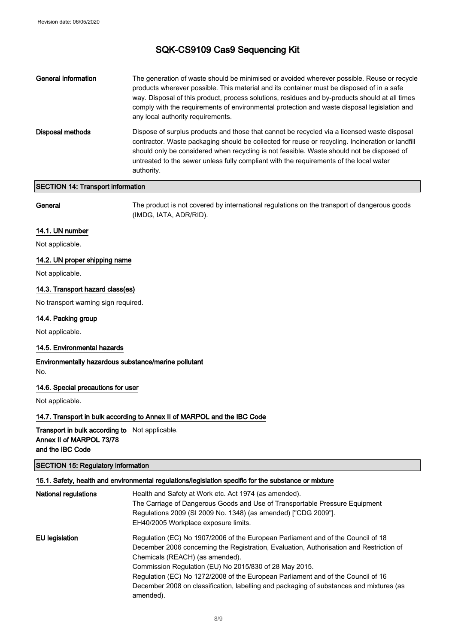| General information | The generation of waste should be minimised or avoided wherever possible. Reuse or recycle<br>products wherever possible. This material and its container must be disposed of in a safe<br>way. Disposal of this product, process solutions, residues and by-products should at all times<br>comply with the requirements of environmental protection and waste disposal legislation and<br>any local authority requirements. |
|---------------------|-------------------------------------------------------------------------------------------------------------------------------------------------------------------------------------------------------------------------------------------------------------------------------------------------------------------------------------------------------------------------------------------------------------------------------|
| Disposal methods    | Dispose of surplus products and those that cannot be recycled via a licensed waste disposal<br>contractor. Waste packaging should be collected for reuse or recycling. Incineration or landfill<br>should only be considered when recycling is not feasible. Waste should not be disposed of<br>untreated to the sewer unless fully compliant with the requirements of the local water<br>authority.                          |

### SECTION 14: Transport information

General The product is not covered by international regulations on the transport of dangerous goods (IMDG, IATA, ADR/RID).

### 14.1. UN number

Not applicable.

### 14.2. UN proper shipping name

Not applicable.

### 14.3. Transport hazard class(es)

No transport warning sign required.

### 14.4. Packing group

Not applicable.

### 14.5. Environmental hazards

### Environmentally hazardous substance/marine pollutant No.

### 14.6. Special precautions for user

Not applicable.

### 14.7. Transport in bulk according to Annex II of MARPOL and the IBC Code

Transport in bulk according to Not applicable. Annex II of MARPOL 73/78 and the IBC Code

### SECTION 15: Regulatory information

### 15.1. Safety, health and environmental regulations/legislation specific for the substance or mixture

| <b>National regulations</b> | Health and Safety at Work etc. Act 1974 (as amended).<br>The Carriage of Dangerous Goods and Use of Transportable Pressure Equipment<br>Regulations 2009 (SI 2009 No. 1348) (as amended) ["CDG 2009"].<br>EH40/2005 Workplace exposure limits.     |
|-----------------------------|----------------------------------------------------------------------------------------------------------------------------------------------------------------------------------------------------------------------------------------------------|
| EU legislation              | Regulation (EC) No 1907/2006 of the European Parliament and of the Council of 18<br>December 2006 concerning the Registration, Evaluation, Authorisation and Restriction of<br>Chemicals (REACH) (as amended).                                     |
|                             | Commission Regulation (EU) No 2015/830 of 28 May 2015.<br>Regulation (EC) No 1272/2008 of the European Parliament and of the Council of 16<br>December 2008 on classification, labelling and packaging of substances and mixtures (as<br>amended). |